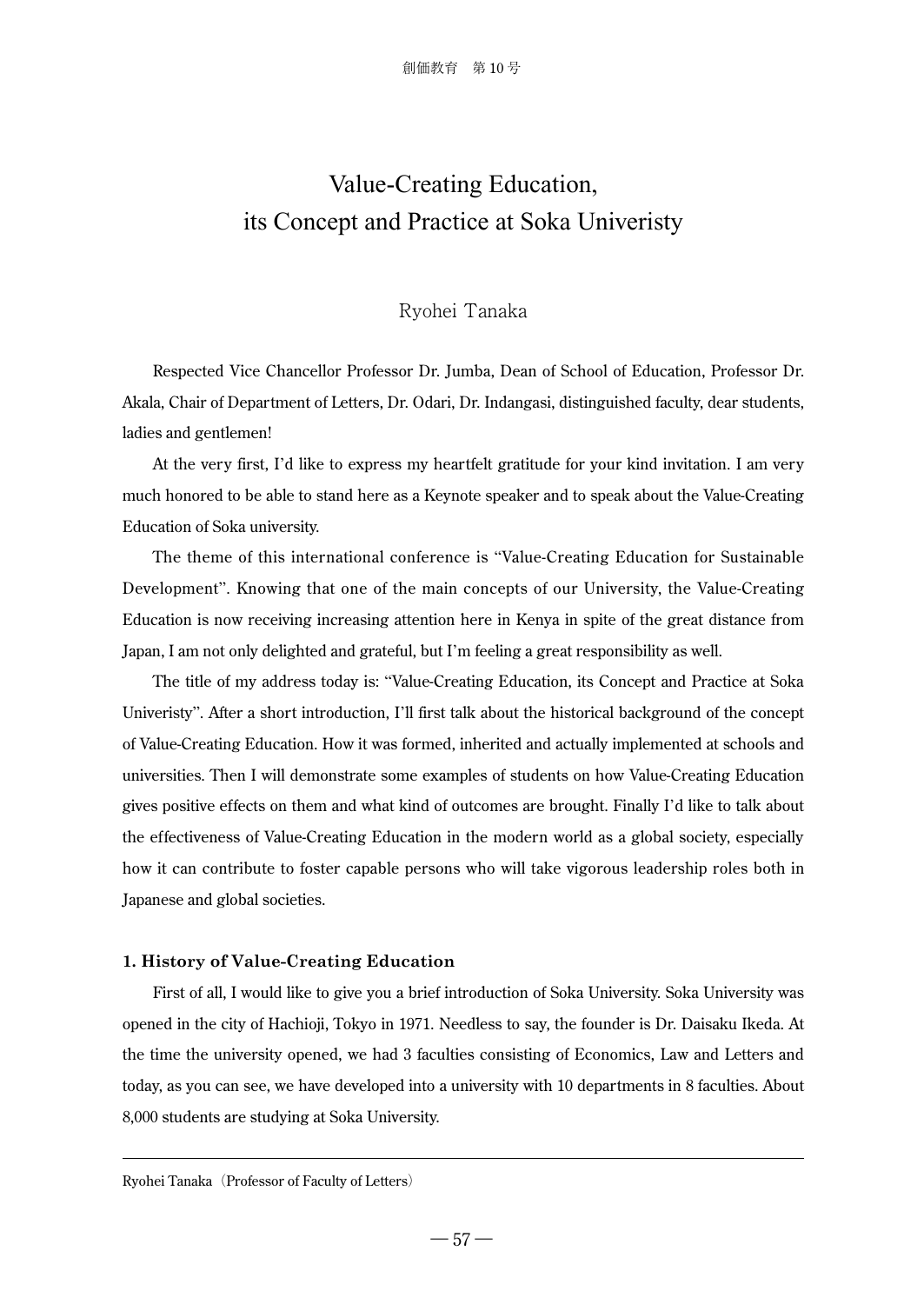# Value-Creating Education, its Concept and Practice at Soka Univeristy

## Ryohei Tanaka

Respected Vice Chancellor Professor Dr. Jumba, Dean of School of Education, Professor Dr. Akala, Chair of Department of Letters, Dr. Odari, Dr. Indangasi, distinguished faculty, dear students, ladies and gentlemen!

At the very first, I'd like to express my heartfelt gratitude for your kind invitation. I am very much honored to be able to stand here as a Keynote speaker and to speak about the Value-Creating Education of Soka university.

The theme of this international conference is "Value-Creating Education for Sustainable Development". Knowing that one of the main concepts of our University, the Value-Creating Education is now receiving increasing attention here in Kenya in spite of the great distance from Japan, I am not only delighted and grateful, but I'm feeling a great responsibility as well.

The title of my address today is: "Value-Creating Education, its Concept and Practice at Soka Univeristy". After a short introduction, I'll first talk about the historical background of the concept of Value-Creating Education. How it was formed, inherited and actually implemented at schools and universities. Then I will demonstrate some examples of students on how Value-Creating Education gives positive effects on them and what kind of outcomes are brought. Finally I'd like to talk about the effectiveness of Value-Creating Education in the modern world as a global society, especially how it can contribute to foster capable persons who will take vigorous leadership roles both in Japanese and global societies.

### **1. History of Value-Creating Education**

First of all, I would like to give you a brief introduction of Soka University. Soka University was opened in the city of Hachioji, Tokyo in 1971. Needless to say, the founder is Dr. Daisaku Ikeda. At the time the university opened, we had 3 faculties consisting of Economics, Law and Letters and today, as you can see, we have developed into a university with 10 departments in 8 faculties. About 8,000 students are studying at Soka University.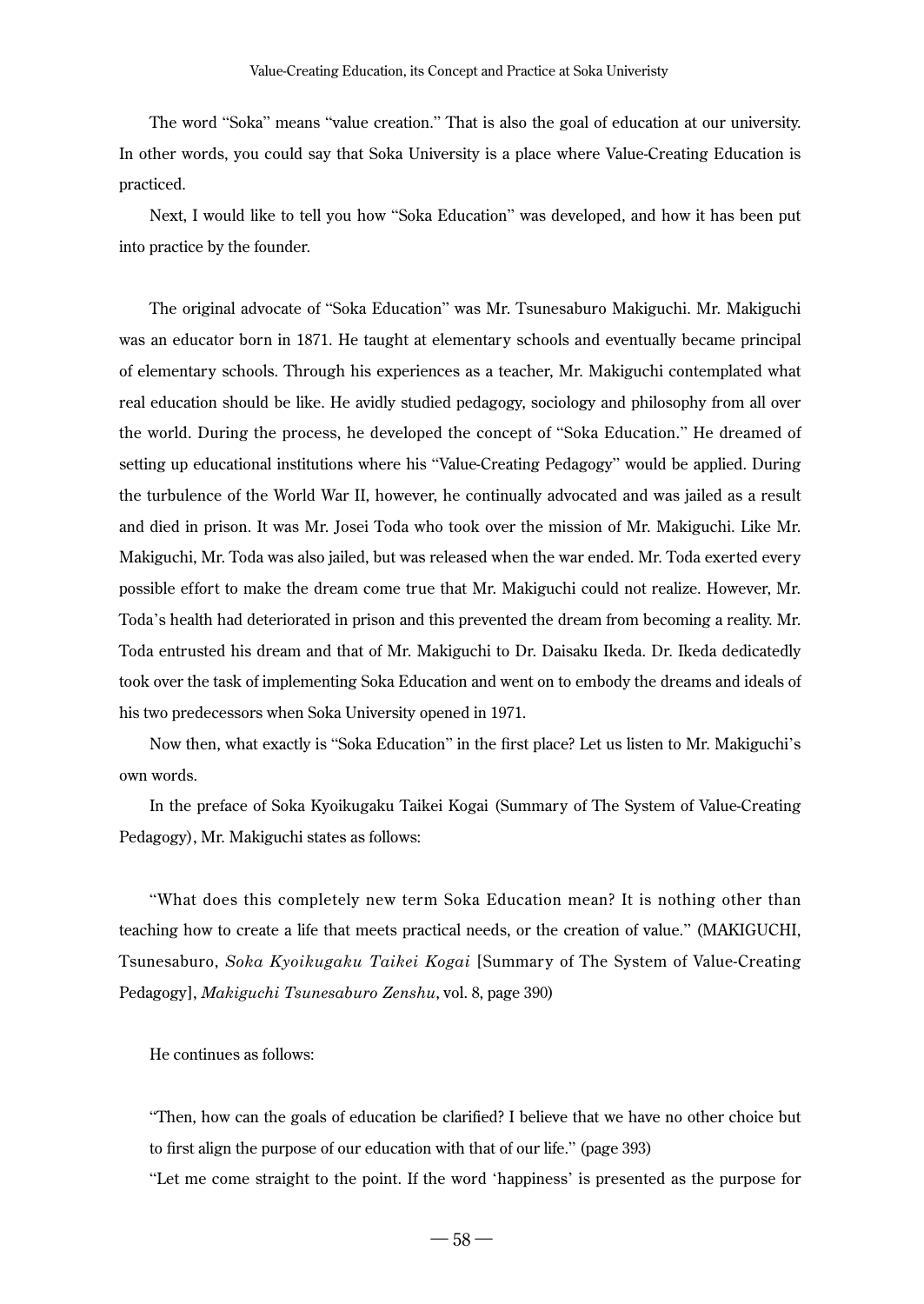The word "Soka" means "value creation." That is also the goal of education at our university. In other words, you could say that Soka University is a place where Value-Creating Education is practiced.

Next, I would like to tell you how "Soka Education" was developed, and how it has been put into practice by the founder.

The original advocate of "Soka Education" was Mr. Tsunesaburo Makiguchi. Mr. Makiguchi was an educator born in 1871. He taught at elementary schools and eventually became principal of elementary schools. Through his experiences as a teacher, Mr. Makiguchi contemplated what real education should be like. He avidly studied pedagogy, sociology and philosophy from all over the world. During the process, he developed the concept of "Soka Education." He dreamed of setting up educational institutions where his "Value-Creating Pedagogy" would be applied. During the turbulence of the World War II, however, he continually advocated and was jailed as a result and died in prison. It was Mr. Josei Toda who took over the mission of Mr. Makiguchi. Like Mr. Makiguchi, Mr. Toda was also jailed, but was released when the war ended. Mr. Toda exerted every possible effort to make the dream come true that Mr. Makiguchi could not realize. However, Mr. Toda's health had deteriorated in prison and this prevented the dream from becoming a reality. Mr. Toda entrusted his dream and that of Mr. Makiguchi to Dr. Daisaku Ikeda. Dr. Ikeda dedicatedly took over the task of implementing Soka Education and went on to embody the dreams and ideals of his two predecessors when Soka University opened in 1971.

Now then, what exactly is "Soka Education" in the first place? Let us listen to Mr. Makiguchi's own words.

In the preface of Soka Kyoikugaku Taikei Kogai (Summary of The System of Value-Creating Pedagogy), Mr. Makiguchi states as follows:

"What does this completely new term Soka Education mean? It is nothing other than teaching how to create a life that meets practical needs, or the creation of value." (MAKIGUCHI, Tsunesaburo, *Soka Kyoikugaku Taikei Kogai* [Summary of The System of Value-Creating Pedagogy], *Makiguchi Tsunesaburo Zenshu*, vol. 8, page 390)

He continues as follows:

"Then, how can the goals of education be clarified? I believe that we have no other choice but to first align the purpose of our education with that of our life." (page 393)

"Let me come straight to the point. If the word 'happiness' is presented as the purpose for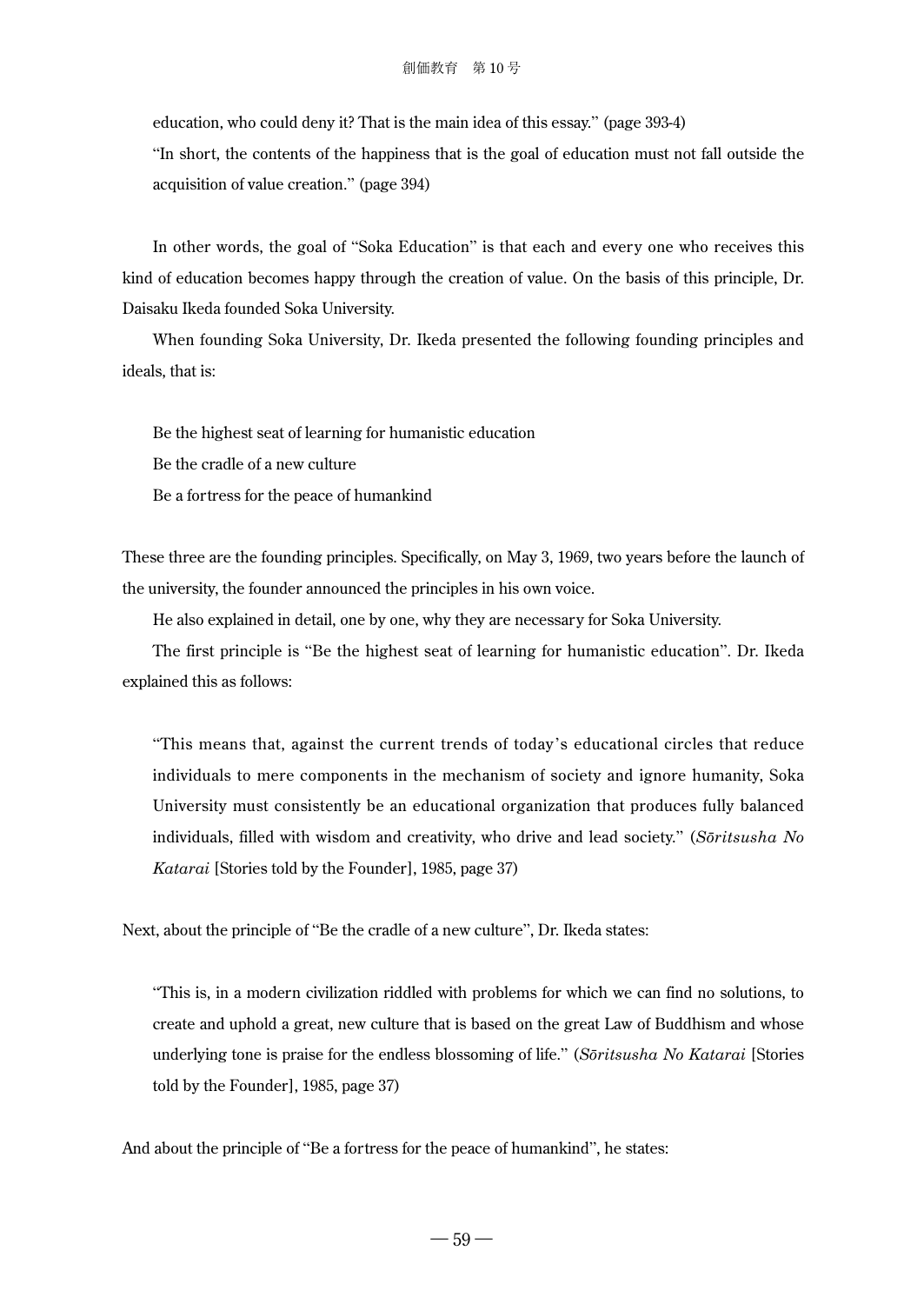education, who could deny it? That is the main idea of this essay." (page 393-4)

"In short, the contents of the happiness that is the goal of education must not fall outside the acquisition of value creation." (page 394)

In other words, the goal of "Soka Education" is that each and every one who receives this kind of education becomes happy through the creation of value. On the basis of this principle, Dr. Daisaku Ikeda founded Soka University.

When founding Soka University, Dr. Ikeda presented the following founding principles and ideals, that is:

Be the highest seat of learning for humanistic education Be the cradle of a new culture

Be a fortress for the peace of humankind

These three are the founding principles. Specifically, on May 3, 1969, two years before the launch of the university, the founder announced the principles in his own voice.

He also explained in detail, one by one, why they are necessary for Soka University.

The first principle is "Be the highest seat of learning for humanistic education". Dr. Ikeda explained this as follows:

"This means that, against the current trends of today's educational circles that reduce individuals to mere components in the mechanism of society and ignore humanity, Soka University must consistently be an educational organization that produces fully balanced individuals, filled with wisdom and creativity, who drive and lead society." (*Sōritsusha No Katarai* [Stories told by the Founder], 1985, page 37)

Next, about the principle of "Be the cradle of a new culture", Dr. Ikeda states:

"This is, in a modern civilization riddled with problems for which we can find no solutions, to create and uphold a great, new culture that is based on the great Law of Buddhism and whose underlying tone is praise for the endless blossoming of life." (*Sōritsusha No Katarai* [Stories told by the Founder], 1985, page 37)

And about the principle of "Be a fortress for the peace of humankind", he states: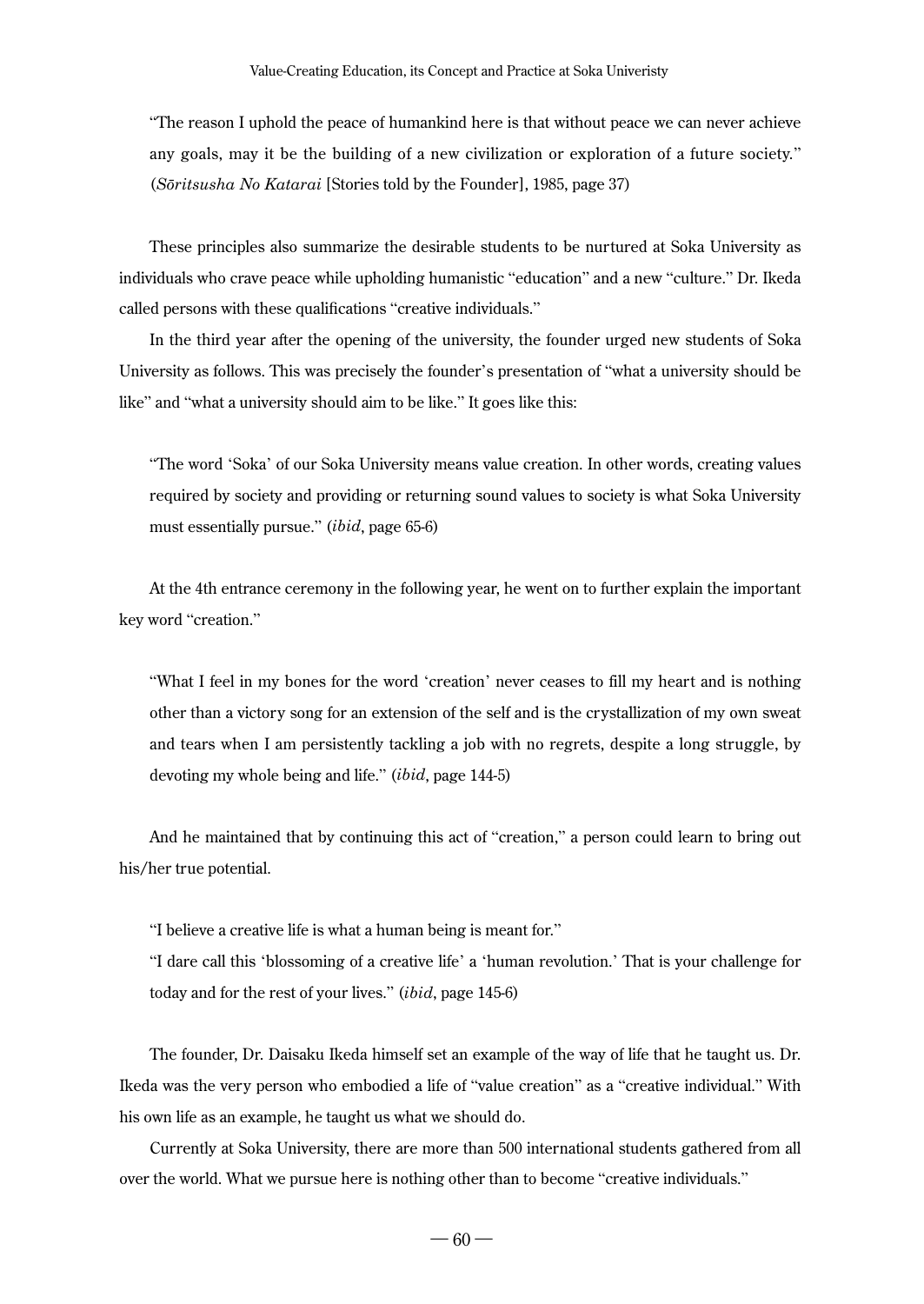"The reason I uphold the peace of humankind here is that without peace we can never achieve any goals, may it be the building of a new civilization or exploration of a future society." (*Sōritsusha No Katarai* [Stories told by the Founder], 1985, page 37)

These principles also summarize the desirable students to be nurtured at Soka University as individuals who crave peace while upholding humanistic "education" and a new "culture." Dr. Ikeda called persons with these qualifications "creative individuals."

In the third year after the opening of the university, the founder urged new students of Soka University as follows. This was precisely the founder's presentation of "what a university should be like" and "what a university should aim to be like." It goes like this:

"The word 'Soka' of our Soka University means value creation. In other words, creating values required by society and providing or returning sound values to society is what Soka University must essentially pursue." (*ibid*, page 65-6)

At the 4th entrance ceremony in the following year, he went on to further explain the important key word "creation."

"What I feel in my bones for the word 'creation' never ceases to fill my heart and is nothing other than a victory song for an extension of the self and is the crystallization of my own sweat and tears when I am persistently tackling a job with no regrets, despite a long struggle, by devoting my whole being and life." (*ibid*, page 144-5)

And he maintained that by continuing this act of "creation," a person could learn to bring out his/her true potential.

"I believe a creative life is what a human being is meant for."

"I dare call this 'blossoming of a creative life' a 'human revolution.' That is your challenge for today and for the rest of your lives." (*ibid*, page 145-6)

The founder, Dr. Daisaku Ikeda himself set an example of the way of life that he taught us. Dr. Ikeda was the very person who embodied a life of "value creation" as a "creative individual." With his own life as an example, he taught us what we should do.

Currently at Soka University, there are more than 500 international students gathered from all over the world. What we pursue here is nothing other than to become "creative individuals."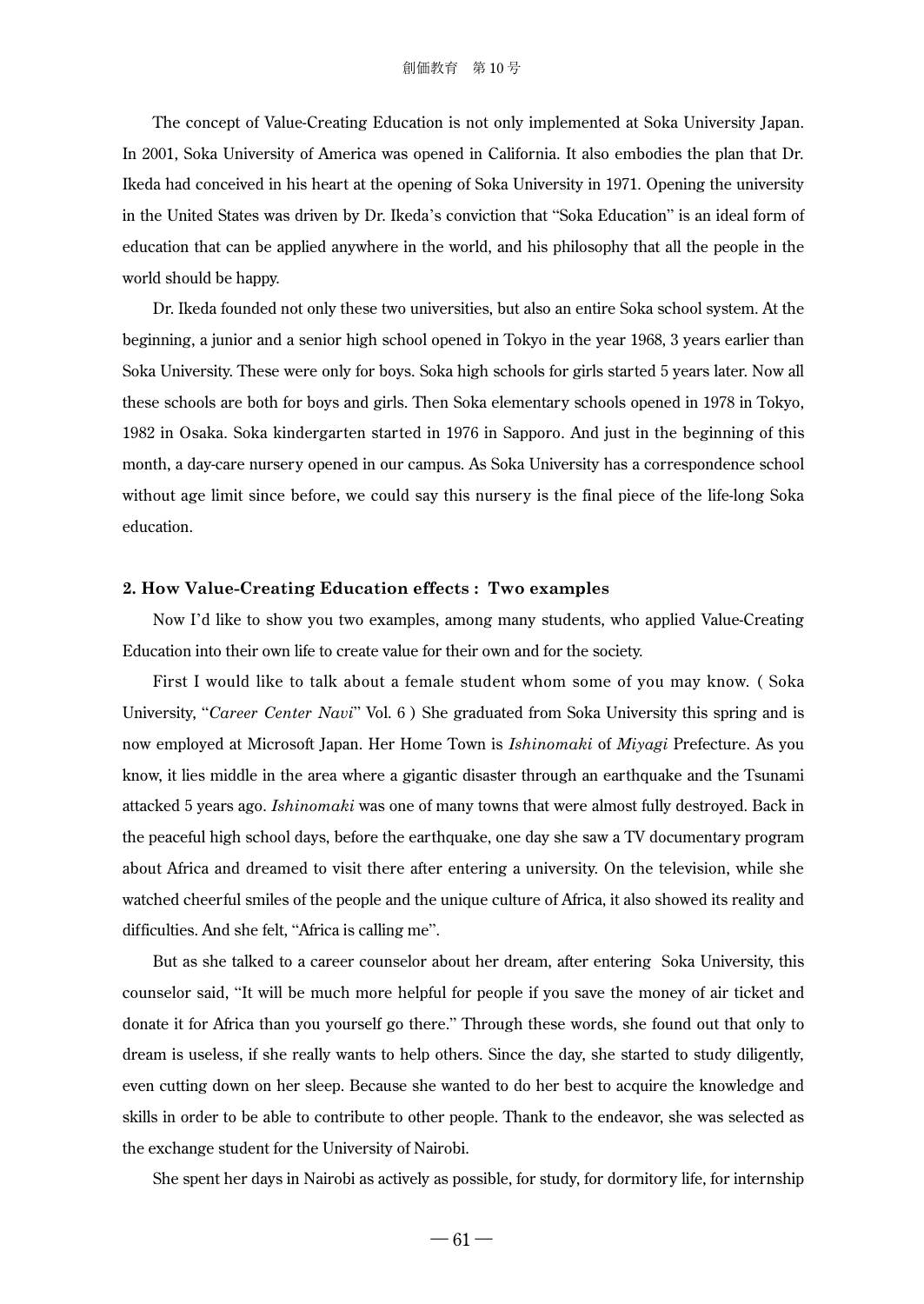The concept of Value-Creating Education is not only implemented at Soka University Japan. In 2001, Soka University of America was opened in California. It also embodies the plan that Dr. Ikeda had conceived in his heart at the opening of Soka University in 1971. Opening the university in the United States was driven by Dr. Ikeda's conviction that "Soka Education" is an ideal form of education that can be applied anywhere in the world, and his philosophy that all the people in the world should be happy.

Dr. Ikeda founded not only these two universities, but also an entire Soka school system. At the beginning, a junior and a senior high school opened in Tokyo in the year 1968, 3 years earlier than Soka University. These were only for boys. Soka high schools for girls started 5 years later. Now all these schools are both for boys and girls. Then Soka elementary schools opened in 1978 in Tokyo, 1982 in Osaka. Soka kindergarten started in 1976 in Sapporo. And just in the beginning of this month, a day-care nursery opened in our campus. As Soka University has a correspondence school without age limit since before, we could say this nursery is the final piece of the life-long Soka education.

#### **2. How Value-Creating Education effects : Two examples**

Now I'd like to show you two examples, among many students, who applied Value-Creating Education into their own life to create value for their own and for the society.

First I would like to talk about a female student whom some of you may know. ( Soka University, "*Career Center Navi*" Vol. 6 ) She graduated from Soka University this spring and is now employed at Microsoft Japan. Her Home Town is *Ishinomaki* of *Miyagi* Prefecture. As you know, it lies middle in the area where a gigantic disaster through an earthquake and the Tsunami attacked 5 years ago. *Ishinomaki* was one of many towns that were almost fully destroyed. Back in the peaceful high school days, before the earthquake, one day she saw a TV documentary program about Africa and dreamed to visit there after entering a university. On the television, while she watched cheerful smiles of the people and the unique culture of Africa, it also showed its reality and difficulties. And she felt, "Africa is calling me".

But as she talked to a career counselor about her dream, after entering Soka University, this counselor said, "It will be much more helpful for people if you save the money of air ticket and donate it for Africa than you yourself go there." Through these words, she found out that only to dream is useless, if she really wants to help others. Since the day, she started to study diligently, even cutting down on her sleep. Because she wanted to do her best to acquire the knowledge and skills in order to be able to contribute to other people. Thank to the endeavor, she was selected as the exchange student for the University of Nairobi.

She spent her days in Nairobi as actively as possible, for study, for dormitory life, for internship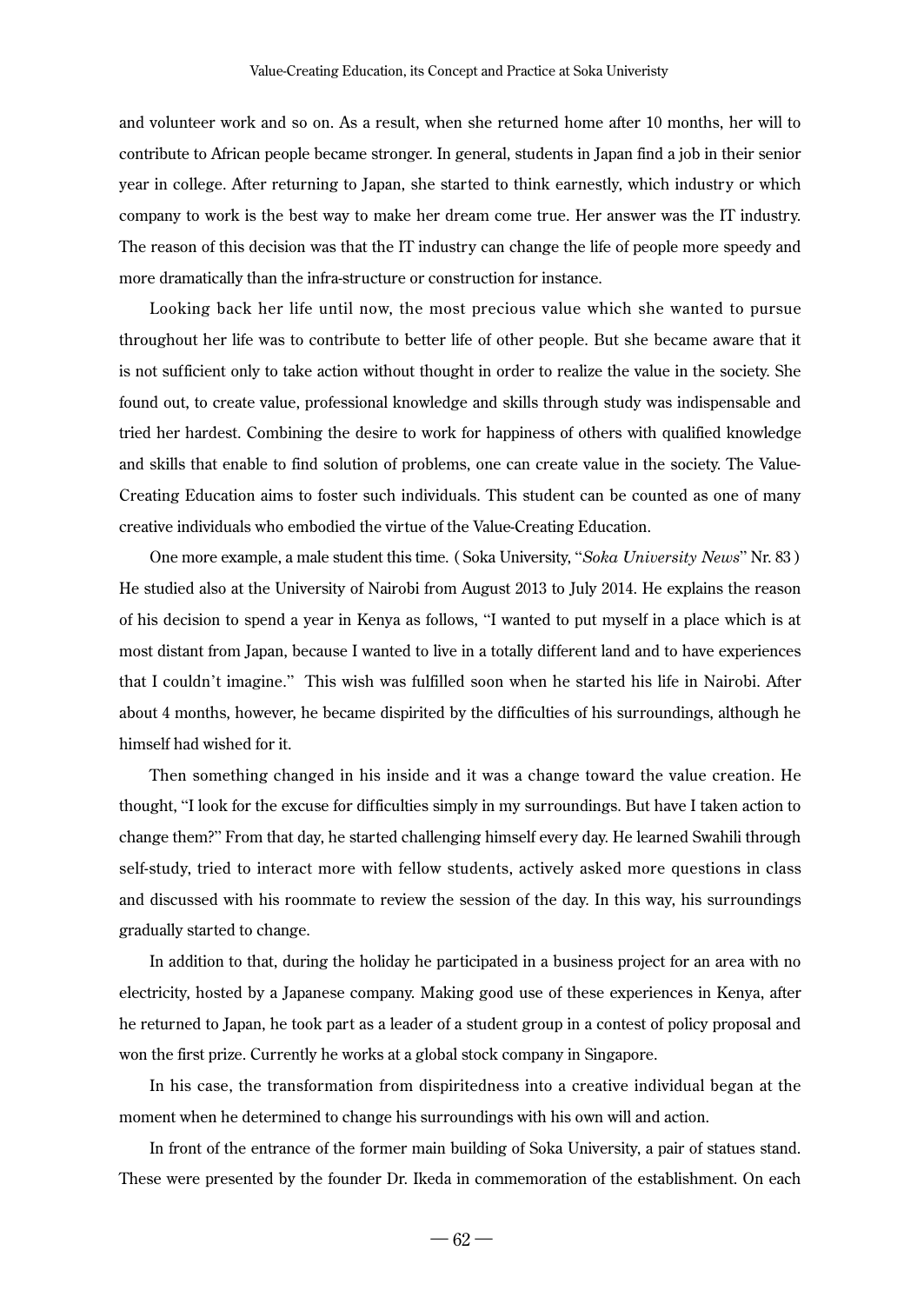and volunteer work and so on. As a result, when she returned home after 10 months, her will to contribute to African people became stronger. In general, students in Japan find a job in their senior year in college. After returning to Japan, she started to think earnestly, which industry or which company to work is the best way to make her dream come true. Her answer was the IT industry. The reason of this decision was that the IT industry can change the life of people more speedy and more dramatically than the infra-structure or construction for instance.

Looking back her life until now, the most precious value which she wanted to pursue throughout her life was to contribute to better life of other people. But she became aware that it is not sufficient only to take action without thought in order to realize the value in the society. She found out, to create value, professional knowledge and skills through study was indispensable and tried her hardest. Combining the desire to work for happiness of others with qualified knowledge and skills that enable to find solution of problems, one can create value in the society. The Value-Creating Education aims to foster such individuals. This student can be counted as one of many creative individuals who embodied the virtue of the Value-Creating Education.

One more example, a male student this time. ( Soka University, "*Soka University News*" Nr. 83 ) He studied also at the University of Nairobi from August 2013 to July 2014. He explains the reason of his decision to spend a year in Kenya as follows, "I wanted to put myself in a place which is at most distant from Japan, because I wanted to live in a totally different land and to have experiences that I couldn't imagine." This wish was fulfilled soon when he started his life in Nairobi. After about 4 months, however, he became dispirited by the difficulties of his surroundings, although he himself had wished for it.

Then something changed in his inside and it was a change toward the value creation. He thought, "I look for the excuse for difficulties simply in my surroundings. But have I taken action to change them?" From that day, he started challenging himself every day. He learned Swahili through self-study, tried to interact more with fellow students, actively asked more questions in class and discussed with his roommate to review the session of the day. In this way, his surroundings gradually started to change.

In addition to that, during the holiday he participated in a business project for an area with no electricity, hosted by a Japanese company. Making good use of these experiences in Kenya, after he returned to Japan, he took part as a leader of a student group in a contest of policy proposal and won the first prize. Currently he works at a global stock company in Singapore.

In his case, the transformation from dispiritedness into a creative individual began at the moment when he determined to change his surroundings with his own will and action.

In front of the entrance of the former main building of Soka University, a pair of statues stand. These were presented by the founder Dr. Ikeda in commemoration of the establishment. On each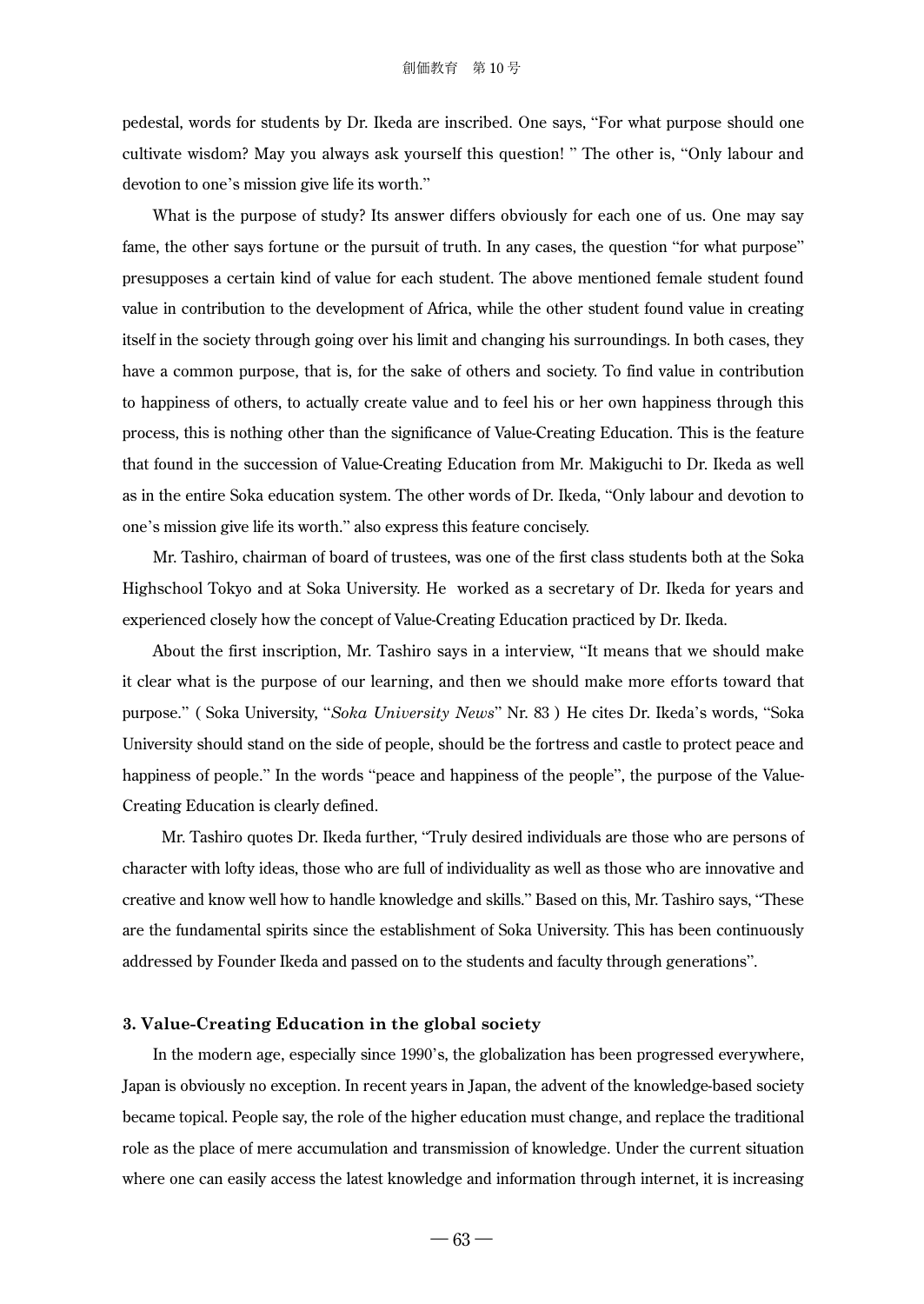pedestal, words for students by Dr. Ikeda are inscribed. One says, "For what purpose should one cultivate wisdom? May you always ask yourself this question! " The other is, "Only labour and devotion to one's mission give life its worth."

What is the purpose of study? Its answer differs obviously for each one of us. One may say fame, the other says fortune or the pursuit of truth. In any cases, the question "for what purpose" presupposes a certain kind of value for each student. The above mentioned female student found value in contribution to the development of Africa, while the other student found value in creating itself in the society through going over his limit and changing his surroundings. In both cases, they have a common purpose, that is, for the sake of others and society. To find value in contribution to happiness of others, to actually create value and to feel his or her own happiness through this process, this is nothing other than the significance of Value-Creating Education. This is the feature that found in the succession of Value-Creating Education from Mr. Makiguchi to Dr. Ikeda as well as in the entire Soka education system. The other words of Dr. Ikeda, "Only labour and devotion to one's mission give life its worth." also express this feature concisely.

Mr. Tashiro, chairman of board of trustees, was one of the first class students both at the Soka Highschool Tokyo and at Soka University. He worked as a secretary of Dr. Ikeda for years and experienced closely how the concept of Value-Creating Education practiced by Dr. Ikeda.

About the first inscription, Mr. Tashiro says in a interview, "It means that we should make it clear what is the purpose of our learning, and then we should make more efforts toward that purpose." ( Soka University, "*Soka University News*" Nr. 83 ) He cites Dr. Ikeda's words, "Soka University should stand on the side of people, should be the fortress and castle to protect peace and happiness of people." In the words "peace and happiness of the people", the purpose of the Value-Creating Education is clearly defined.

 Mr. Tashiro quotes Dr. Ikeda further, "Truly desired individuals are those who are persons of character with lofty ideas, those who are full of individuality as well as those who are innovative and creative and know well how to handle knowledge and skills." Based on this, Mr. Tashiro says, "These are the fundamental spirits since the establishment of Soka University. This has been continuously addressed by Founder Ikeda and passed on to the students and faculty through generations".

#### **3. Value-Creating Education in the global society**

In the modern age, especially since 1990's, the globalization has been progressed everywhere, Japan is obviously no exception. In recent years in Japan, the advent of the knowledge-based society became topical. People say, the role of the higher education must change, and replace the traditional role as the place of mere accumulation and transmission of knowledge. Under the current situation where one can easily access the latest knowledge and information through internet, it is increasing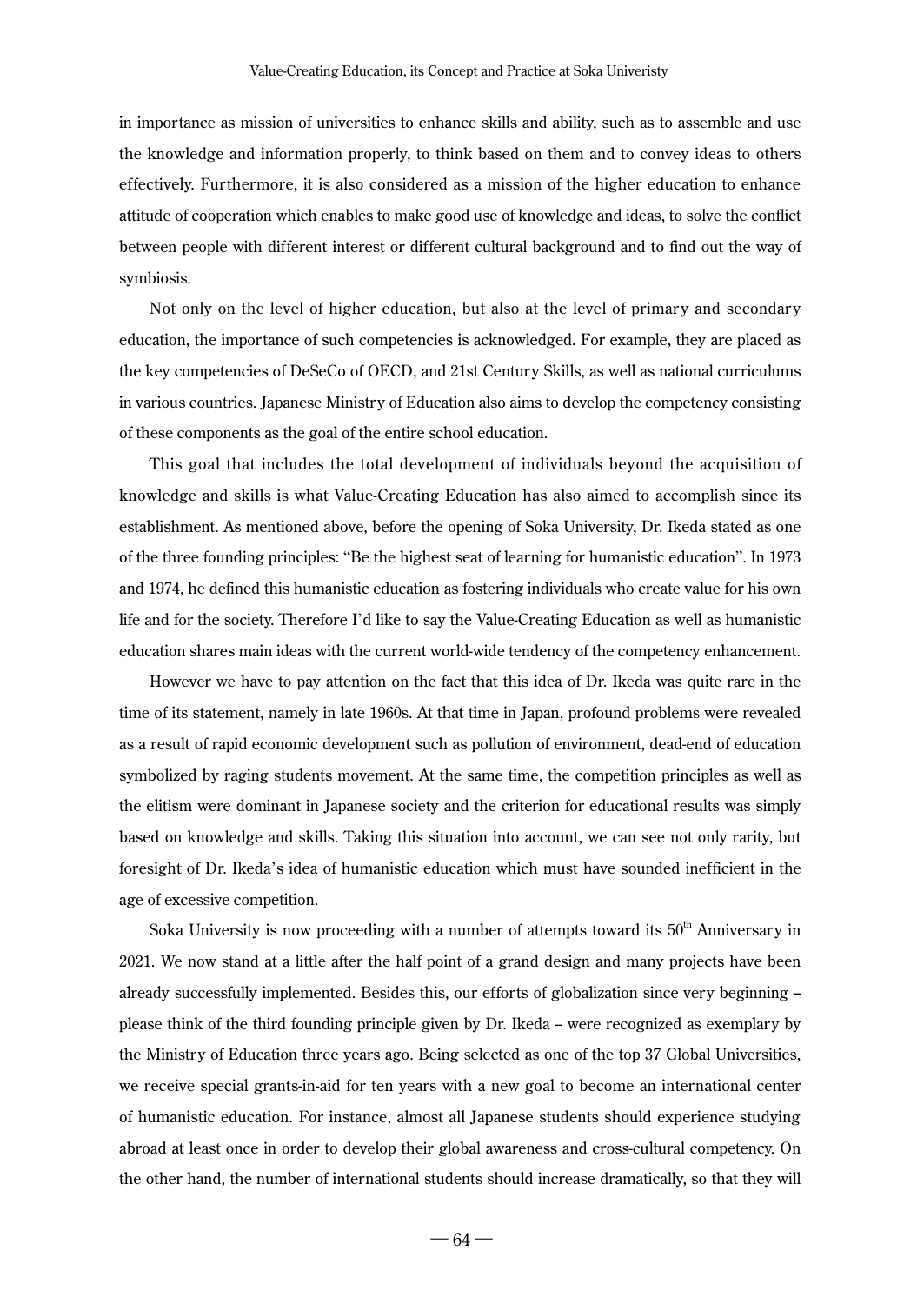in importance as mission of universities to enhance skills and ability, such as to assemble and use the knowledge and information properly, to think based on them and to convey ideas to others effectively. Furthermore, it is also considered as a mission of the higher education to enhance attitude of cooperation which enables to make good use of knowledge and ideas, to solve the conflict between people with different interest or different cultural background and to find out the way of symbiosis.

Not only on the level of higher education, but also at the level of primary and secondary education, the importance of such competencies is acknowledged. For example, they are placed as the key competencies of DeSeCo of OECD, and 21st Century Skills, as well as national curriculums in various countries. Japanese Ministry of Education also aims to develop the competency consisting of these components as the goal of the entire school education.

This goal that includes the total development of individuals beyond the acquisition of knowledge and skills is what Value-Creating Education has also aimed to accomplish since its establishment. As mentioned above, before the opening of Soka University, Dr. Ikeda stated as one of the three founding principles: "Be the highest seat of learning for humanistic education". In 1973 and 1974, he defined this humanistic education as fostering individuals who create value for his own life and for the society. Therefore I'd like to say the Value-Creating Education as well as humanistic education shares main ideas with the current world-wide tendency of the competency enhancement.

However we have to pay attention on the fact that this idea of Dr. Ikeda was quite rare in the time of its statement, namely in late 1960s. At that time in Japan, profound problems were revealed as a result of rapid economic development such as pollution of environment, dead-end of education symbolized by raging students movement. At the same time, the competition principles as well as the elitism were dominant in Japanese society and the criterion for educational results was simply based on knowledge and skills. Taking this situation into account, we can see not only rarity, but foresight of Dr. Ikeda's idea of humanistic education which must have sounded inefficient in the age of excessive competition.

Soka University is now proceeding with a number of attempts toward its  $50<sup>th</sup>$  Anniversary in 2021. We now stand at a little after the half point of a grand design and many projects have been already successfully implemented. Besides this, our efforts of globalization since very beginning -please think of the third founding principle given by Dr. Ikeda -- were recognized as exemplary by the Ministry of Education three years ago. Being selected as one of the top 37 Global Universities, we receive special grants-in-aid for ten years with a new goal to become an international center of humanistic education. For instance, almost all Japanese students should experience studying abroad at least once in order to develop their global awareness and cross-cultural competency. On the other hand, the number of international students should increase dramatically, so that they will